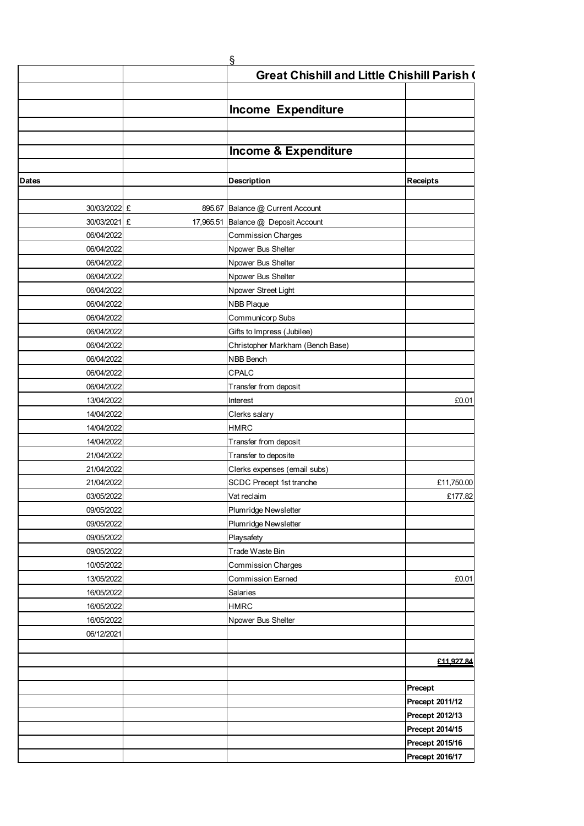|                              |           | ş                                                  |                 |
|------------------------------|-----------|----------------------------------------------------|-----------------|
|                              |           | <b>Great Chishill and Little Chishill Parish (</b> |                 |
|                              |           |                                                    |                 |
|                              |           |                                                    |                 |
|                              |           | <b>Income Expenditure</b>                          |                 |
|                              |           |                                                    |                 |
|                              |           |                                                    |                 |
|                              |           | <b>Income &amp; Expenditure</b>                    |                 |
|                              |           |                                                    |                 |
| <b>Dates</b>                 |           | <b>Description</b>                                 | <b>Receipts</b> |
|                              |           |                                                    |                 |
| 30/03/2022 £<br>30/03/2021 £ |           | 895.67 Balance @ Current Account                   |                 |
|                              | 17,965.51 | Balance @ Deposit Account                          |                 |
| 06/04/2022                   |           | <b>Commission Charges</b>                          |                 |
| 06/04/2022                   |           | Npower Bus Shelter                                 |                 |
| 06/04/2022                   |           | Npower Bus Shelter                                 |                 |
| 06/04/2022                   |           | Npower Bus Shelter                                 |                 |
| 06/04/2022                   |           | Npower Street Light                                |                 |
| 06/04/2022                   |           | NBB Plaque                                         |                 |
| 06/04/2022                   |           | Communicorp Subs                                   |                 |
| 06/04/2022                   |           | Gifts to Impress (Jubilee)                         |                 |
| 06/04/2022                   |           | Christopher Markham (Bench Base)                   |                 |
| 06/04/2022                   |           | NBB Bench                                          |                 |
| 06/04/2022                   |           | CPALC                                              |                 |
| 06/04/2022                   |           | Transfer from deposit                              |                 |
| 13/04/2022                   |           | Interest                                           | £0.01           |
| 14/04/2022                   |           | Clerks salary                                      |                 |
| 14/04/2022                   |           | <b>HMRC</b>                                        |                 |
| 14/04/2022                   |           | Transfer from deposit                              |                 |
| 21/04/2022                   |           | Transfer to deposite                               |                 |
| 21/04/2022                   |           | Clerks expenses (email subs)                       |                 |
| 21/04/2022                   |           | SCDC Precept 1st tranche                           | £11,750.00      |
| 03/05/2022                   |           | Vat reclaim                                        | £177.82         |
| 09/05/2022                   |           | Plumridge Newsletter                               |                 |
| 09/05/2022                   |           | Plumridge Newsletter                               |                 |
| 09/05/2022                   |           | Playsafety                                         |                 |
| 09/05/2022                   |           | Trade Waste Bin                                    |                 |
| 10/05/2022                   |           | <b>Commission Charges</b>                          |                 |
| 13/05/2022                   |           | Commission Earned                                  | £0.01           |
| 16/05/2022                   |           | Salaries                                           |                 |
| 16/05/2022                   |           | <b>HMRC</b>                                        |                 |
| 16/05/2022                   |           | Npower Bus Shelter                                 |                 |
| 06/12/2021                   |           |                                                    |                 |
|                              |           |                                                    |                 |
|                              |           |                                                    | £11 927 84      |
|                              |           |                                                    |                 |
|                              |           |                                                    | Precept         |
|                              |           |                                                    | Precept 2011/12 |
|                              |           |                                                    | Precept 2012/13 |
|                              |           |                                                    | Precept 2014/15 |
|                              |           |                                                    | Precept 2015/16 |
|                              |           |                                                    | Precept 2016/17 |
|                              |           |                                                    |                 |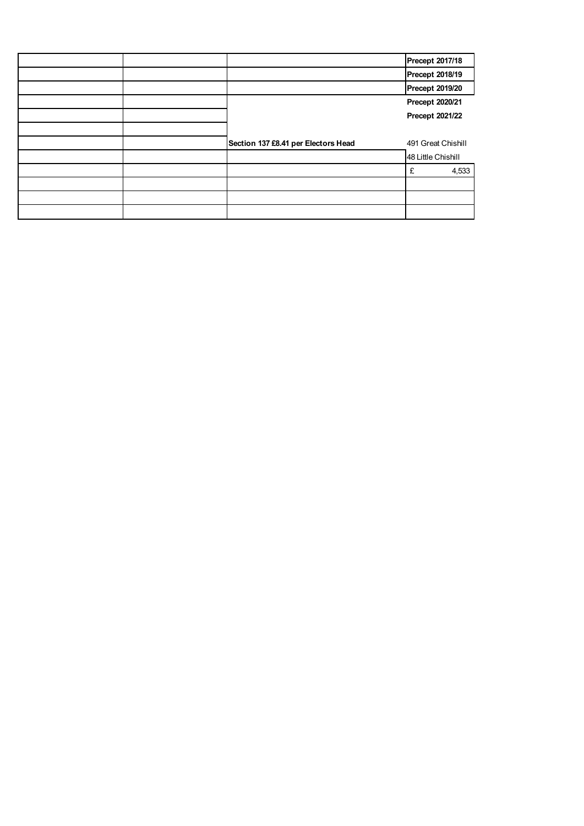|  |                                     | Precept 2017/18        |
|--|-------------------------------------|------------------------|
|  |                                     | <b>Precept 2018/19</b> |
|  |                                     | <b>Precept 2019/20</b> |
|  |                                     | Precept 2020/21        |
|  |                                     | Precept 2021/22        |
|  |                                     |                        |
|  | Section 137 £8.41 per Electors Head | 491 Great Chishill     |
|  |                                     | 48 Little Chishill     |
|  |                                     | 4,533<br>£             |
|  |                                     |                        |
|  |                                     |                        |
|  |                                     |                        |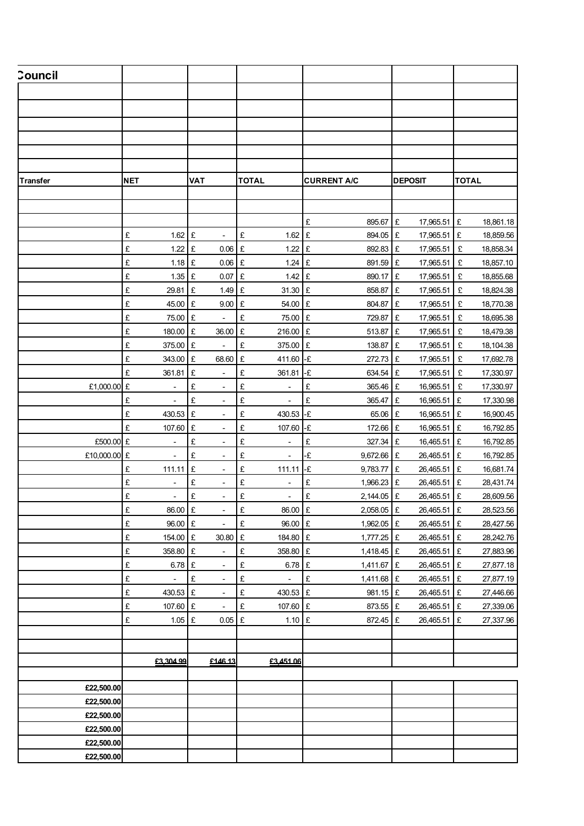| <b>Council</b>  |                                                  |                                       |                                          |                                |                                      |                        |
|-----------------|--------------------------------------------------|---------------------------------------|------------------------------------------|--------------------------------|--------------------------------------|------------------------|
|                 |                                                  |                                       |                                          |                                |                                      |                        |
|                 |                                                  |                                       |                                          |                                |                                      |                        |
|                 |                                                  |                                       |                                          |                                |                                      |                        |
|                 |                                                  |                                       |                                          |                                |                                      |                        |
|                 |                                                  |                                       |                                          |                                |                                      |                        |
|                 |                                                  |                                       |                                          |                                |                                      |                        |
| <b>Transfer</b> | <b>NET</b>                                       | <b>VAT</b>                            | <b>TOTAL</b>                             | <b>CURRENT A/C</b>             | <b>DEPOSIT</b>                       | <b>TOTAL</b>           |
|                 |                                                  |                                       |                                          |                                |                                      |                        |
|                 |                                                  |                                       |                                          |                                |                                      |                        |
|                 |                                                  |                                       |                                          | £<br>895.67                    | £<br>17,965.51 £                     | 18,861.18              |
|                 | £<br>$1.62$ £                                    | $\sim$                                | $1.62 \text{ }E$<br>£                    | 894.05                         | 17,965.51 £<br>£                     | 18,859.56              |
|                 | £<br>$1.22$ £                                    | $0.06$ £                              | 1.22                                     | £<br>892.83                    | 17,965.51 £<br>£                     | 18,858.34              |
|                 | £<br>$1.18$ £                                    | $0.06$ £                              | $1.24$ £                                 | 891.59                         | 17,965.51<br>£                       | £<br>18,857.10         |
|                 | £<br>$1.35$ £                                    | $0.07$ £                              | $1.42 \text{ }E$                         | 890.17                         | 17,965.51<br>Ι£                      | E<br>18,855.68         |
|                 | £<br>29.81 £                                     | $1.49$ £                              | 31.30 £                                  | 858.87                         | £<br>17,965.51 £                     | 18,824.38              |
|                 | £<br>45.00                                       | 9.00 E<br>£                           | 54.00 £                                  | 804.87 £                       | 17,965.51                            | 18,770.38<br>£         |
|                 | £<br>75.00 £                                     | $\sim$                                | £<br>75.00 £                             | 729.87                         | 17,965.51<br>Ι£                      | Ι£<br>18,695.38        |
|                 | £<br>180.00 £                                    | 36.00 £                               | 216.00 £                                 | 513.87                         | 17,965.51 £<br>£                     | 18,479.38              |
|                 | £<br>375.00 £                                    | $\blacksquare$                        | $\pounds$<br>375.00                      | £<br>138.87                    | 17,965.51<br>£                       | E<br>18,104.38         |
|                 | £<br>343.00 £                                    | 68.60 £                               | 411.60 -£                                | 272.73                         | 17,965.51<br>£                       | Ι£<br>17,692.78        |
|                 | £<br>361.81 £                                    | $\sim$                                | 361.81 -£<br>£                           | 634.54                         | 17,965.51 £<br>£                     | 17,330.97              |
| £1,000.00 £     | $\omega$                                         | $\pounds$<br>$\overline{\phantom{a}}$ | £<br>$\blacksquare$                      | $\pounds$<br>365.46 £          | 16,965.51                            | £<br>17,330.97         |
|                 | £<br>$\overline{\phantom{a}}$                    | $\pounds$<br>$\sim$                   | £<br>$\overline{\phantom{a}}$            | £<br>365.47                    | 16,965.51 £<br>Ι£                    | 17,330.98              |
|                 | £<br>430.53 £                                    | $\overline{\phantom{a}}$              | £<br>430.53 -£                           | 65.06                          | 16,965.51 £<br>£                     | 16,900.45              |
|                 | £<br>107.60 £                                    | $\sim$                                | £<br>107.60                              | -£<br>172.66                   | 16,965.51 £<br>£                     | 16,792.85              |
| £500.00 £       | $\overline{\phantom{a}}$                         | £<br>$\sim$                           | £<br>$\overline{\phantom{a}}$            | £<br>327.34                    | 16,465.51 £<br>£                     | 16,792.85              |
| £10,000.00 £    | $\blacksquare$                                   | £<br>$\sim$                           | £<br>$\overline{\phantom{a}}$            | -£<br>9,672.66                 | 26,465.51 £<br>£                     | 16,792.85              |
|                 | £<br>111.11 £                                    | $\blacksquare$                        | £<br>$111.11 - E$                        | 9,783.77                       | 26,465.51 £<br>Ι£                    | 16,681.74              |
|                 | £<br>$\overline{\phantom{a}}$<br>£               | £<br>$\sim$<br>$\pounds$              | £<br>$\overline{\phantom{a}}$<br>£       | £<br>1,966.23<br>£<br>2,144.05 | 26,465.51 £<br>£<br>£<br>26,465.51 £ | 28,431.74<br>28,609.56 |
|                 | $\overline{\phantom{a}}$<br>$\pounds$<br>86.00 £ | $\overline{\phantom{a}}$<br>$\sim$    | $\overline{\phantom{a}}$<br>E<br>86.00 £ | $2,058.05$ £                   | 26,465.51 £                          | 28,523.56              |
|                 | £<br>96.00 £                                     | $\sim$                                | $\mathbf{E}$<br>96.00 £                  | 1,962.05 £                     | 26,465.51 £                          | 28,427.56              |
|                 | £<br>154.00 £                                    | 30.80 £                               | 184.80 £                                 | $1,777.25$ £                   | 26,465.51 £                          | 28,242.76              |
|                 | £<br>358.80 £                                    | $\sim$                                | E<br>358.80 £                            | 1,418.45 £                     | 26,465.51 £                          | 27,883.96              |
|                 | £<br>$6.78$ £                                    | $\sim$                                | $\pounds$<br>$6.78$ £                    | 1,411.67 £                     | 26,465.51 £                          | 27,877.18              |
|                 | £<br>$\sim$                                      | $\pounds$<br>$\sim$                   | $\pounds$<br>$\sim$                      | $\pounds$<br>1,411.68 £        | 26,465.51 £                          | 27,877.19              |
|                 | £<br>430.53 £                                    | $\sim$                                | $\pounds$<br>430.53 £                    | 981.15 £                       | 26,465.51 £                          | 27,446.66              |
|                 | £<br>107.60 £                                    | $\sim$                                | £<br>107.60 £                            | 873.55 £                       | 26,465.51 £                          | 27,339.06              |
|                 | £<br>$1.05$ £                                    | $0.05$ £                              | $1.10$ £                                 | 872.45 £                       | 26,465.51 £                          | 27,337.96              |
|                 |                                                  |                                       |                                          |                                |                                      |                        |
|                 |                                                  |                                       |                                          |                                |                                      |                        |
|                 | £3,304.99                                        | £146.13                               | £3,451.06                                |                                |                                      |                        |
|                 |                                                  |                                       |                                          |                                |                                      |                        |
| £22,500.00      |                                                  |                                       |                                          |                                |                                      |                        |
| £22,500.00      |                                                  |                                       |                                          |                                |                                      |                        |
| £22,500.00      |                                                  |                                       |                                          |                                |                                      |                        |
| £22,500.00      |                                                  |                                       |                                          |                                |                                      |                        |
| £22,500.00      |                                                  |                                       |                                          |                                |                                      |                        |
| £22,500.00      |                                                  |                                       |                                          |                                |                                      |                        |